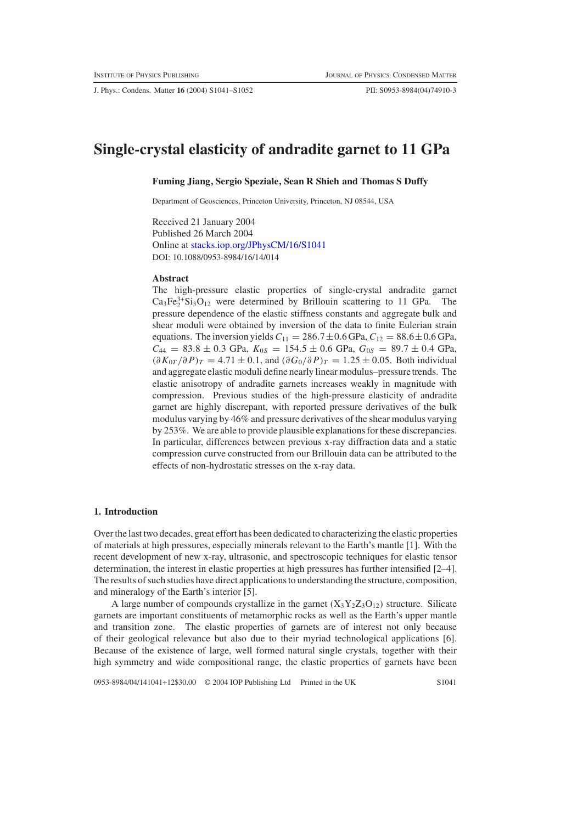J. Phys.: Condens. Matter **16** (2004) S1041–S1052 PII: S0953-8984(04)74910-3

# **Single-crystal elasticity of andradite garnet to 11 GPa**

### **Fuming Jiang, Sergio Speziale, Sean R Shieh and Thomas S Duffy**

Department of Geosciences, Princeton University, Princeton, NJ 08544, USA

Received 21 January 2004 Published 26 March 2004 Online at [stacks.iop.org/JPhysCM/16/S1041](http://stacks.iop.org/JPhysCM/16/S1041) DOI: 10.1088/0953-8984/16/14/014

# **Abstract**

The high-pressure elastic properties of single-crystal andradite garnet  $Ca_3Fe_2^{3+}Si_3O_{12}$  were determined by Brillouin scattering to 11 GPa. The pressure dependence of the elastic stiffness constants and aggregate bulk and shear moduli were obtained by inversion of the data to finite Eulerian strain equations. The inversion yields  $C_{11} = 286.7 \pm 0.6$  GPa,  $C_{12} = 88.6 \pm 0.6$  GPa,  $C_{44}$  = 83.8 ± 0.3 GPa,  $K_{0S}$  = 154.5 ± 0.6 GPa,  $G_{0S}$  = 89.7 ± 0.4 GPa,  $(\partial K_{0T}/\partial P)_T = 4.71 \pm 0.1$ , and  $(\partial G_0/\partial P)_T = 1.25 \pm 0.05$ . Both individual and aggregate elastic moduli define nearly linear modulus–pressure trends. The elastic anisotropy of andradite garnets increases weakly in magnitude with compression. Previous studies of the high-pressure elasticity of andradite garnet are highly discrepant, with reported pressure derivatives of the bulk modulus varying by 46% and pressure derivatives of the shear modulus varying by 253%. We are able to provide plausible explanations for these discrepancies. In particular, differences between previous x-ray diffraction data and a static compression curve constructed from our Brillouin data can be attributed to the effects of non-hydrostatic stresses on the x-ray data.

# **1. Introduction**

Over the last two decades, great effort has been dedicated to characterizing the elastic properties of materials at high pressures, especially minerals relevant to the Earth's mantle [1]. With the recent development of new x-ray, ultrasonic, and spectroscopic techniques for elastic tensor determination, the interest in elastic properties at high pressures has further intensified [2–4]. The results of such studies have direct applications to understanding the structure, composition, and mineralogy of the Earth's interior [5].

A large number of compounds crystallize in the garnet  $(X_3Y_2Z_3O_{12})$  structure. Silicate garnets are important constituents of metamorphic rocks as well as the Earth's upper mantle and transition zone. The elastic properties of garnets are of interest not only because of their geological relevance but also due to their myriad technological applications [6]. Because of the existence of large, well formed natural single crystals, together with their high symmetry and wide compositional range, the elastic properties of garnets have been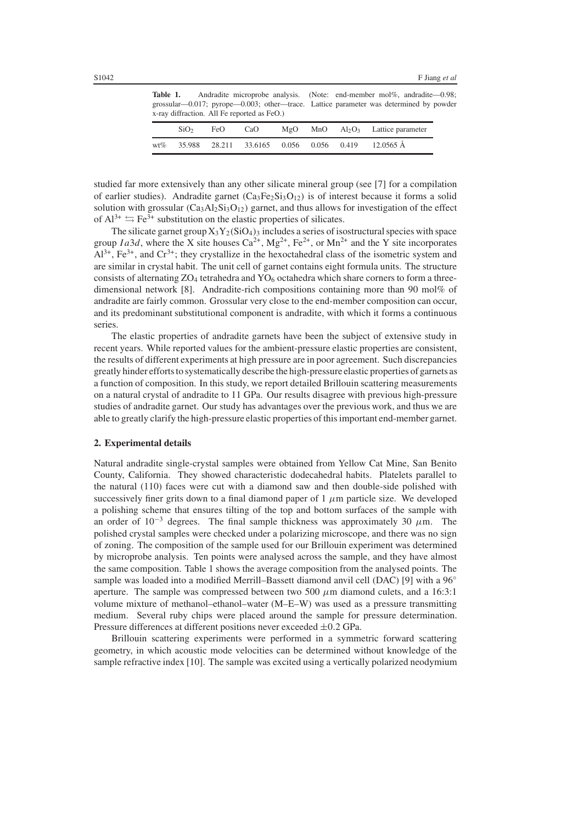Table 1. Andradite microprobe analysis. (Note: end-member mol%, andradite—0.98; grossular—0.017; pyrope—0.003; other—trace. Lattice parameter was determined by powder x-ray diffraction. All Fe reported as FeO.)

|     | SiO <sub>2</sub> | FeO | CaO |  | $MgO$ $MnO$ $Al_2O_3$ Lattice parameter           |
|-----|------------------|-----|-----|--|---------------------------------------------------|
| wt% |                  |     |     |  | 35.988 28.211 33.6165 0.056 0.056 0.419 12.0565 Å |

studied far more extensively than any other silicate mineral group (see [7] for a compilation of earlier studies). Andradite garnet  $(Ca_3Fe_2Si_3O_{12})$  is of interest because it forms a solid solution with grossular  $(Ca_3A_2Si_3O_12)$  garnet, and thus allows for investigation of the effect of  $Al^{3+} \rightleftharpoons Fe^{3+}$  substitution on the elastic properties of silicates.

The silicate garnet group  $X_3Y_2(SiO_4)_3$  includes a series of isostructural species with space group *Ia3d*, where the X site houses  $Ca^{2+}$ , Mg<sup>2+</sup>, Fe<sup>2+</sup>, or Mn<sup>2+</sup> and the Y site incorporates  $Al^{3+}$ ,  $Fe^{3+}$ , and  $Cr^{3+}$ ; they crystallize in the hexoctahedral class of the isometric system and are similar in crystal habit. The unit cell of garnet contains eight formula units. The structure consists of alternating  $ZO_4$  tetrahedra and  $YO_6$  octahedra which share corners to form a threedimensional network [8]. Andradite-rich compositions containing more than 90 mol% of andradite are fairly common. Grossular very close to the end-member composition can occur, and its predominant substitutional component is andradite, with which it forms a continuous series.

The elastic properties of andradite garnets have been the subject of extensive study in recent years. While reported values for the ambient-pressure elastic properties are consistent, the results of different experiments at high pressure are in poor agreement. Such discrepancies greatly hinder efforts to systematically describe the high-pressure elastic properties of garnets as a function of composition. In this study, we report detailed Brillouin scattering measurements on a natural crystal of andradite to 11 GPa. Our results disagree with previous high-pressure studies of andradite garnet. Our study has advantages over the previous work, and thus we are able to greatly clarify the high-pressure elastic properties of this important end-member garnet.

#### **2. Experimental details**

Natural andradite single-crystal samples were obtained from Yellow Cat Mine, San Benito County, California. They showed characteristic dodecahedral habits. Platelets parallel to the natural (110) faces were cut with a diamond saw and then double-side polished with successively finer grits down to a final diamond paper of  $1 \mu m$  particle size. We developed a polishing scheme that ensures tilting of the top and bottom surfaces of the sample with an order of  $10^{-3}$  degrees. The final sample thickness was approximately 30  $\mu$ m. The polished crystal samples were checked under a polarizing microscope, and there was no sign of zoning. The composition of the sample used for our Brillouin experiment was determined by microprobe analysis. Ten points were analysed across the sample, and they have almost the same composition. Table 1 shows the average composition from the analysed points. The sample was loaded into a modified Merrill–Bassett diamond anvil cell (DAC) [9] with a 96° aperture. The sample was compressed between two 500  $\mu$ m diamond culets, and a 16:3:1 volume mixture of methanol–ethanol–water (M–E–W) was used as a pressure transmitting medium. Several ruby chips were placed around the sample for pressure determination. Pressure differences at different positions never exceeded ±0.2 GPa.

Brillouin scattering experiments were performed in a symmetric forward scattering geometry, in which acoustic mode velocities can be determined without knowledge of the sample refractive index [10]. The sample was excited using a vertically polarized neodymium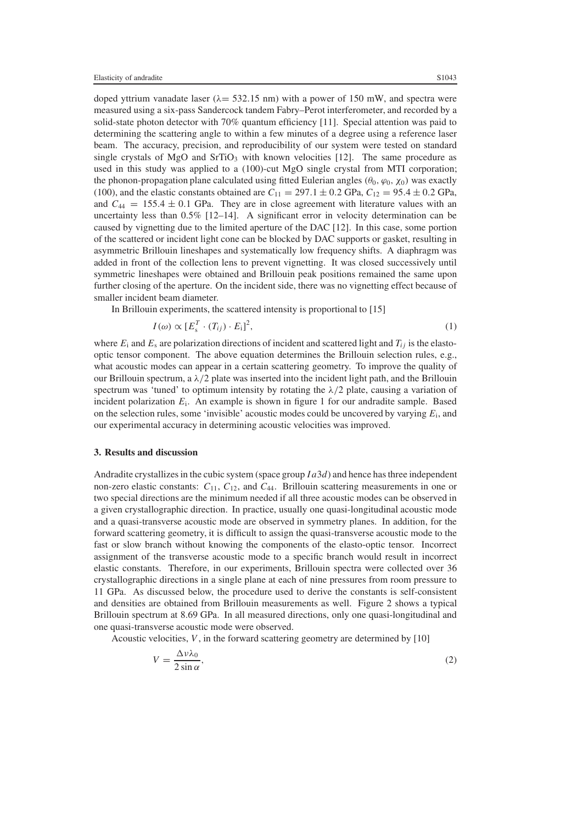doped yttrium vanadate laser ( $\lambda$  = 532.15 nm) with a power of 150 mW, and spectra were measured using a six-pass Sandercock tandem Fabry–Perot interferometer, and recorded by a solid-state photon detector with 70% quantum efficiency [11]. Special attention was paid to determining the scattering angle to within a few minutes of a degree using a reference laser beam. The accuracy, precision, and reproducibility of our system were tested on standard single crystals of MgO and SrTiO<sub>3</sub> with known velocities  $[12]$ . The same procedure as used in this study was applied to a (100)-cut MgO single crystal from MTI corporation; the phonon-propagation plane calculated using fitted Eulerian angles ( $\theta_0$ ,  $\varphi_0$ ,  $\chi_0$ ) was exactly (100), and the elastic constants obtained are  $C_{11} = 297.1 \pm 0.2$  GPa,  $C_{12} = 95.4 \pm 0.2$  GPa, and  $C_{44} = 155.4 \pm 0.1$  GPa. They are in close agreement with literature values with an uncertainty less than 0.5% [12–14]. A significant error in velocity determination can be caused by vignetting due to the limited aperture of the DAC [12]. In this case, some portion of the scattered or incident light cone can be blocked by DAC supports or gasket, resulting in asymmetric Brillouin lineshapes and systematically low frequency shifts. A diaphragm was added in front of the collection lens to prevent vignetting. It was closed successively until symmetric lineshapes were obtained and Brillouin peak positions remained the same upon further closing of the aperture. On the incident side, there was no vignetting effect because of smaller incident beam diameter.

In Brillouin experiments, the scattered intensity is proportional to [15]

$$
I(\omega) \propto [E_s^T \cdot (T_{ij}) \cdot E_i]^2, \tag{1}
$$

where  $E_i$  and  $E_s$  are polarization directions of incident and scattered light and  $T_{ij}$  is the elastooptic tensor component. The above equation determines the Brillouin selection rules, e.g., what acoustic modes can appear in a certain scattering geometry. To improve the quality of our Brillouin spectrum, a  $\lambda/2$  plate was inserted into the incident light path, and the Brillouin spectrum was 'tuned' to optimum intensity by rotating the  $\lambda/2$  plate, causing a variation of incident polarization  $E_i$ . An example is shown in figure 1 for our andradite sample. Based on the selection rules, some 'invisible' acoustic modes could be uncovered by varying *E*i, and our experimental accuracy in determining acoustic velocities was improved.

## **3. Results and discussion**

Andradite crystallizes in the cubic system (space group *I a*3*d*) and hence has three independent non-zero elastic constants: *C*11, *C*12, and *C*44. Brillouin scattering measurements in one or two special directions are the minimum needed if all three acoustic modes can be observed in a given crystallographic direction. In practice, usually one quasi-longitudinal acoustic mode and a quasi-transverse acoustic mode are observed in symmetry planes. In addition, for the forward scattering geometry, it is difficult to assign the quasi-transverse acoustic mode to the fast or slow branch without knowing the components of the elasto-optic tensor. Incorrect assignment of the transverse acoustic mode to a specific branch would result in incorrect elastic constants. Therefore, in our experiments, Brillouin spectra were collected over 36 crystallographic directions in a single plane at each of nine pressures from room pressure to 11 GPa. As discussed below, the procedure used to derive the constants is self-consistent and densities are obtained from Brillouin measurements as well. Figure 2 shows a typical Brillouin spectrum at 8.69 GPa. In all measured directions, only one quasi-longitudinal and one quasi-transverse acoustic mode were observed.

Acoustic velocities, *V* , in the forward scattering geometry are determined by [10]

$$
V = \frac{\Delta v \lambda_0}{2 \sin \alpha},\tag{2}
$$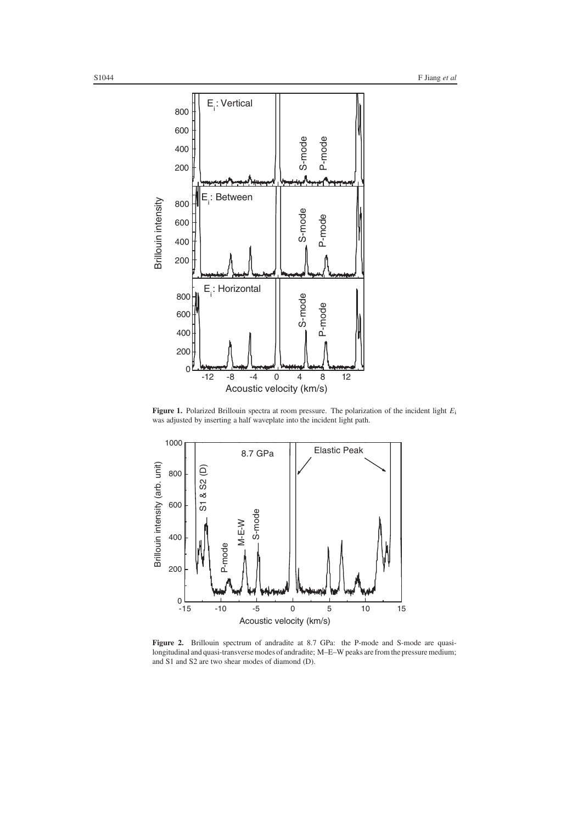

**Figure 1.** Polarized Brillouin spectra at room pressure. The polarization of the incident light *E*<sup>i</sup> was adjusted by inserting a half waveplate into the incident light path.



**Figure 2.** Brillouin spectrum of andradite at 8.7 GPa: the P-mode and S-mode are quasilongitudinal and quasi-transverse modes of andradite; M–E–W peaks are from the pressure medium; and S1 and S2 are two shear modes of diamond (D).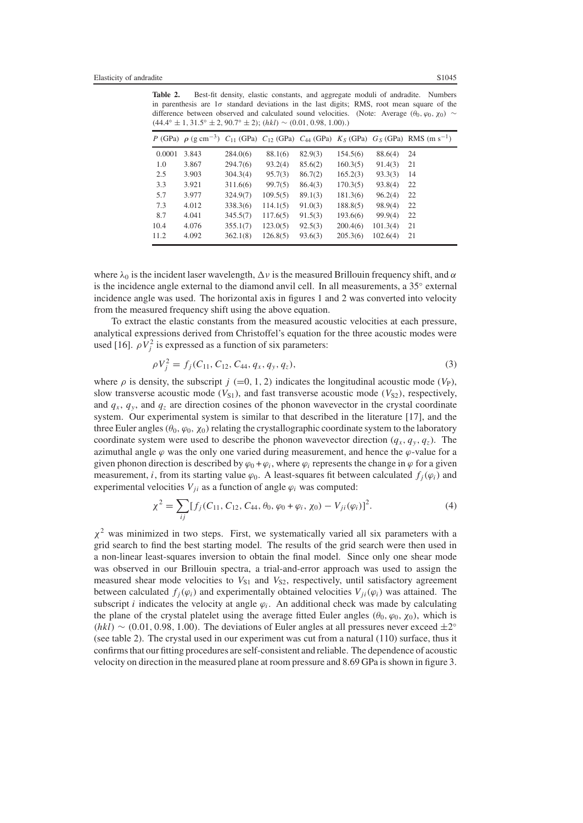**Table 2.** Best-fit density, elastic constants, and aggregate moduli of andradite. Numbers in parenthesis are  $1\sigma$  standard deviations in the last digits; RMS, root mean square of the difference between observed and calculated sound velocities. (Note: Average  $(\theta_0, \varphi_0, \chi_0) \sim$  $(44.4° \pm 1, 31.5° \pm 2, 90.7° \pm 2); (hkl) \sim (0.01, 0.98, 1.00).)$ 

|        |       |          |          |         |          |          | P (GPa) $\rho$ (g cm <sup>-3</sup> ) $C_{11}$ (GPa) $C_{12}$ (GPa) $C_{44}$ (GPa) $K_S$ (GPa) $G_S$ (GPa) RMS (m s <sup>-1</sup> ) |
|--------|-------|----------|----------|---------|----------|----------|------------------------------------------------------------------------------------------------------------------------------------|
| 0.0001 | 3.843 | 284.0(6) | 88.1(6)  | 82.9(3) | 154.5(6) | 88.6(4)  | 24                                                                                                                                 |
| 1.0    | 3.867 | 294.7(6) | 93.2(4)  | 85.6(2) | 160.3(5) | 91.4(3)  | 21                                                                                                                                 |
| 2.5    | 3.903 | 304.3(4) | 95.7(3)  | 86.7(2) | 165.2(3) | 93.3(3)  | 14                                                                                                                                 |
| 3.3    | 3.921 | 311.6(6) | 99.7(5)  | 86.4(3) | 170.3(5) | 93.8(4)  | 22                                                                                                                                 |
| 5.7    | 3.977 | 324.9(7) | 109.5(5) | 89.1(3) | 181.3(6) | 96.2(4)  | 22                                                                                                                                 |
| 7.3    | 4.012 | 338.3(6) | 114.1(5) | 91.0(3) | 188.8(5) | 98.9(4)  | 22                                                                                                                                 |
| 8.7    | 4.041 | 345.5(7) | 117.6(5) | 91.5(3) | 193.6(6) | 99.9(4)  | 22                                                                                                                                 |
| 10.4   | 4.076 | 355.1(7) | 123.0(5) | 92.5(3) | 200.4(6) | 101.3(4) | 21                                                                                                                                 |
| 11.2   | 4.092 | 362.1(8) | 126.8(5) | 93.6(3) | 205.3(6) | 102.6(4) | 21                                                                                                                                 |

where  $\lambda_0$  is the incident laser wavelength,  $\Delta v$  is the measured Brillouin frequency shift, and  $\alpha$ is the incidence angle external to the diamond anvil cell. In all measurements, a 35◦ external incidence angle was used. The horizontal axis in figures 1 and 2 was converted into velocity from the measured frequency shift using the above equation.

To extract the elastic constants from the measured acoustic velocities at each pressure, analytical expressions derived from Christoffel's equation for the three acoustic modes were used [16].  $\rho V_j^2$  is expressed as a function of six parameters:

$$
\rho V_j^2 = f_j(C_{11}, C_{12}, C_{44}, q_x, q_y, q_z), \tag{3}
$$

where  $\rho$  is density, the subscript  $j (=0, 1, 2)$  indicates the longitudinal acoustic mode (*V*<sub>P</sub>), slow transverse acoustic mode  $(V_{S1})$ , and fast transverse acoustic mode  $(V_{S2})$ , respectively, and  $q_x$ ,  $q_y$ , and  $q_z$  are direction cosines of the phonon wavevector in the crystal coordinate system. Our experimental system is similar to that described in the literature [17], and the three Euler angles ( $\theta_0$ ,  $\varphi_0$ ,  $\chi_0$ ) relating the crystallographic coordinate system to the laboratory coordinate system were used to describe the phonon wavevector direction  $(q_x, q_y, q_z)$ . The azimuthal angle  $\varphi$  was the only one varied during measurement, and hence the  $\varphi$ -value for a given phonon direction is described by  $\varphi_0 + \varphi_i$ , where  $\varphi_i$  represents the change in  $\varphi$  for a given measurement, *i*, from its starting value  $\varphi_0$ . A least-squares fit between calculated  $f_i(\varphi_i)$  and experimental velocities  $V_{ji}$  as a function of angle  $\varphi_i$  was computed:

$$
\chi^2 = \sum_{ij} [f_j(C_{11}, C_{12}, C_{44}, \theta_0, \varphi_0 + \varphi_i, \chi_0) - V_{ji}(\varphi_i)]^2.
$$
 (4)

 $\chi^2$  was minimized in two steps. First, we systematically varied all six parameters with a grid search to find the best starting model. The results of the grid search were then used in a non-linear least-squares inversion to obtain the final model. Since only one shear mode was observed in our Brillouin spectra, a trial-and-error approach was used to assign the measured shear mode velocities to  $V_{S1}$  and  $V_{S2}$ , respectively, until satisfactory agreement between calculated  $f_i(\varphi_i)$  and experimentally obtained velocities  $V_{ii}(\varphi_i)$  was attained. The subscript *i* indicates the velocity at angle  $\varphi_i$ . An additional check was made by calculating the plane of the crystal platelet using the average fitted Euler angles ( $\theta_0$ ,  $\varphi_0$ ,  $\chi_0$ ), which is  $(hkl) \sim (0.01, 0.98, 1.00)$ . The deviations of Euler angles at all pressures never exceed  $\pm 2°$ (see table 2). The crystal used in our experiment was cut from a natural (110) surface, thus it confirms that our fitting procedures are self-consistent and reliable. The dependence of acoustic velocity on direction in the measured plane at room pressure and 8.69 GPa is shown in figure 3.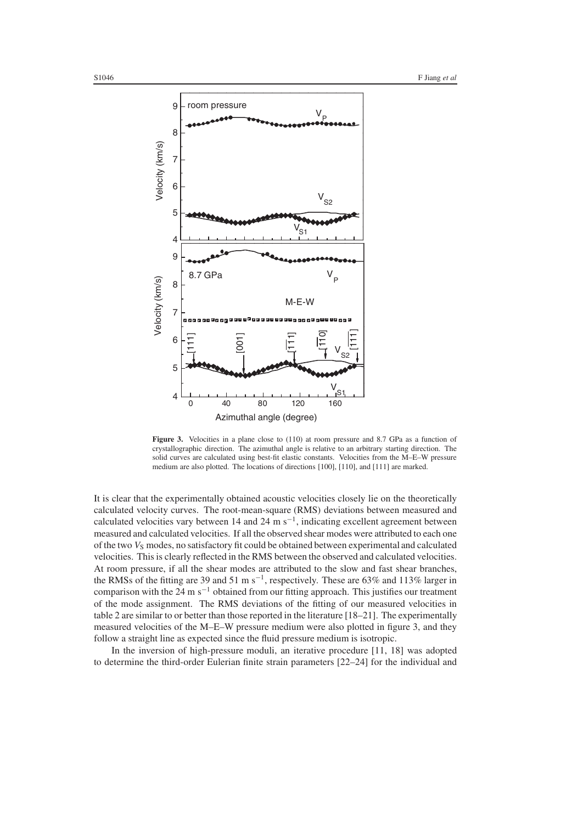

Figure 3. Velocities in a plane close to  $(110)$  at room pressure and 8.7 GPa as a function of crystallographic direction. The azimuthal angle is relative to an arbitrary starting direction. The solid curves are calculated using best-fit elastic constants. Velocities from the M–E–W pressure medium are also plotted. The locations of directions [100], [110], and [111] are marked.

It is clear that the experimentally obtained acoustic velocities closely lie on the theoretically calculated velocity curves. The root-mean-square (RMS) deviations between measured and calculated velocities vary between 14 and 24 m s−1, indicating excellent agreement between measured and calculated velocities. If all the observed shear modes were attributed to each one of the two *V<sub>S</sub>* modes, no satisfactory fit could be obtained between experimental and calculated velocities. This is clearly reflected in the RMS between the observed and calculated velocities. At room pressure, if all the shear modes are attributed to the slow and fast shear branches, the RMSs of the fitting are 39 and 51 m s−1, respectively. These are 63% and 113% larger in comparison with the 24 m s<sup> $-1$ </sup> obtained from our fitting approach. This justifies our treatment of the mode assignment. The RMS deviations of the fitting of our measured velocities in table 2 are similar to or better than those reported in the literature [18–21]. The experimentally measured velocities of the M–E–W pressure medium were also plotted in figure 3, and they follow a straight line as expected since the fluid pressure medium is isotropic.

In the inversion of high-pressure moduli, an iterative procedure [11, 18] was adopted to determine the third-order Eulerian finite strain parameters [22–24] for the individual and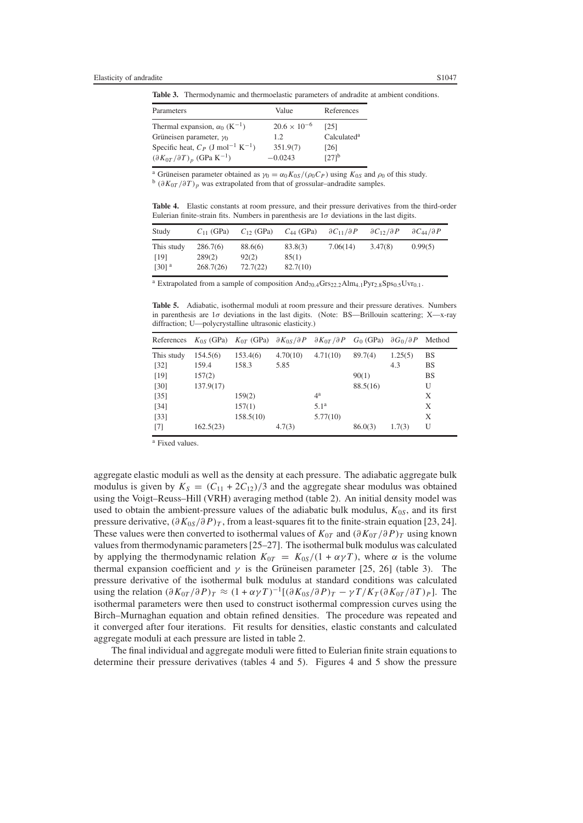**Table 3.** Thermodynamic and thermoelastic parameters of andradite at ambient conditions.

| Parameters                                                  | Value                 | References              |
|-------------------------------------------------------------|-----------------------|-------------------------|
| Thermal expansion, $\alpha_0$ (K <sup>-1</sup> )            | $20.6 \times 10^{-6}$ | [25]                    |
| Grüneisen parameter, $\gamma_0$                             | 1.2.                  | Calculated <sup>a</sup> |
| Specific heat, $C_P$ (J mol <sup>-1</sup> K <sup>-1</sup> ) | 351.9(7)              | [26]                    |
| $(\partial K_{0T}/\partial T)_p$ (GPa K <sup>-1</sup> )     | $-0.0243$             | $[27]$ <sup>b</sup>     |

<sup>a</sup> Grüneisen parameter obtained as  $\gamma_0 = \alpha_0 K_{0S} / (\rho_0 C_P)$  using  $K_{0S}$  and  $\rho_0$  of this study. b (∂*K*<sub>0</sub>*T* /∂*T*)<sub>*p*</sub> was extrapolated from that of grossular–andradite samples.

**Table 4.** Elastic constants at room pressure, and their pressure derivatives from the third-order Eulerian finite-strain fits. Numbers in parenthesis are  $1\sigma$  deviations in the last digits.

| Study                                     | $C_{11}$ (GPa)                  | $C_{12}$ (GPa)               | $C_{44}$ (GPa)               | $\partial C_{11}/\partial P$ | $\partial C_1$ <sub>2</sub> / $\partial P$ | $\partial C_{44}/\partial P$ |
|-------------------------------------------|---------------------------------|------------------------------|------------------------------|------------------------------|--------------------------------------------|------------------------------|
| This study<br>[19]<br>$[30]$ <sup>a</sup> | 286.7(6)<br>289(2)<br>268.7(26) | 88.6(6)<br>92(2)<br>72.7(22) | 83.8(3)<br>85(1)<br>82.7(10) | 7.06(14)                     | 3.47(8)                                    | 0.99(5)                      |

| <sup>a</sup> Extrapolated from a sample of composition $And_{70.4}Grs_{22.2}Alm_{4.1}Pyr_{2.8}Sps_{0.5}Uvr_{0.1}$ . |  |
|---------------------------------------------------------------------------------------------------------------------|--|
|---------------------------------------------------------------------------------------------------------------------|--|

**Table 5.** Adiabatic, isothermal moduli at room pressure and their pressure deratives. Numbers in parenthesis are  $1\sigma$  deviations in the last digits. (Note: BS—Brillouin scattering; X—x-ray diffraction; U—polycrystalline ultrasonic elasticity.)

| References        |           | $K_{0S}$ (GPa) $K_{0T}$ (GPa) $\partial K_{0S}/\partial P$ $\partial K_{0T}/\partial P$ $G_0$ (GPa) |          |                  |          | $\partial G_0 / \partial P$ | Method    |
|-------------------|-----------|-----------------------------------------------------------------------------------------------------|----------|------------------|----------|-----------------------------|-----------|
| This study        | 154.5(6)  | 153.4(6)                                                                                            | 4.70(10) | 4.71(10)         | 89.7(4)  | 1.25(5)                     | <b>BS</b> |
| $[32]$            | 159.4     | 158.3                                                                                               | 5.85     |                  |          | 4.3                         | <b>BS</b> |
| [19]              | 157(2)    |                                                                                                     |          |                  | 90(1)    |                             | <b>BS</b> |
| [30]              | 137.9(17) |                                                                                                     |          |                  | 88.5(16) |                             | U         |
| $[35]$            |           | 159(2)                                                                                              |          | $4^{\rm a}$      |          |                             | X         |
| $[34]$            |           | 157(1)                                                                                              |          | 5.1 <sup>a</sup> |          |                             | X         |
| $[33]$            |           | 158.5(10)                                                                                           |          | 5.77(10)         |          |                             | X         |
| $\lceil 7 \rceil$ | 162.5(23) |                                                                                                     | 4.7(3)   |                  | 86.0(3)  | 1.7(3)                      | U         |

<sup>a</sup> Fixed values.

aggregate elastic moduli as well as the density at each pressure. The adiabatic aggregate bulk modulus is given by  $K_S = (C_{11} + 2C_{12})/3$  and the aggregate shear modulus was obtained using the Voigt–Reuss–Hill (VRH) averaging method (table 2). An initial density model was used to obtain the ambient-pressure values of the adiabatic bulk modulus, *K*0*<sup>S</sup>*, and its first pressure derivative,  $(\partial K_{0S}/\partial P)_T$ , from a least-squares fit to the finite-strain equation [23, 24]. These values were then converted to isothermal values of  $K_{0T}$  and  $(\partial K_{0T}/\partial P)_T$  using known values from thermodynamic parameters [25–27]. The isothermal bulk modulus was calculated by applying the thermodynamic relation  $K_{0T} = K_{0S}/(1 + \alpha \gamma T)$ , where  $\alpha$  is the volume thermal expansion coefficient and  $\gamma$  is the Grüneisen parameter [25, 26] (table 3). The pressure derivative of the isothermal bulk modulus at standard conditions was calculated using the relation  $(\partial K_{0T}/\partial P)_T \approx (1 + \alpha \gamma T)^{-1} [(\partial K_{0S}/\partial P)_T - \gamma T/K_T (\partial K_{0T}/\partial T)_P]$ . The isothermal parameters were then used to construct isothermal compression curves using the Birch–Murnaghan equation and obtain refined densities. The procedure was repeated and it converged after four iterations. Fit results for densities, elastic constants and calculated aggregate moduli at each pressure are listed in table 2.

The final individual and aggregate moduli were fitted to Eulerian finite strain equations to determine their pressure derivatives (tables 4 and 5). Figures 4 and 5 show the pressure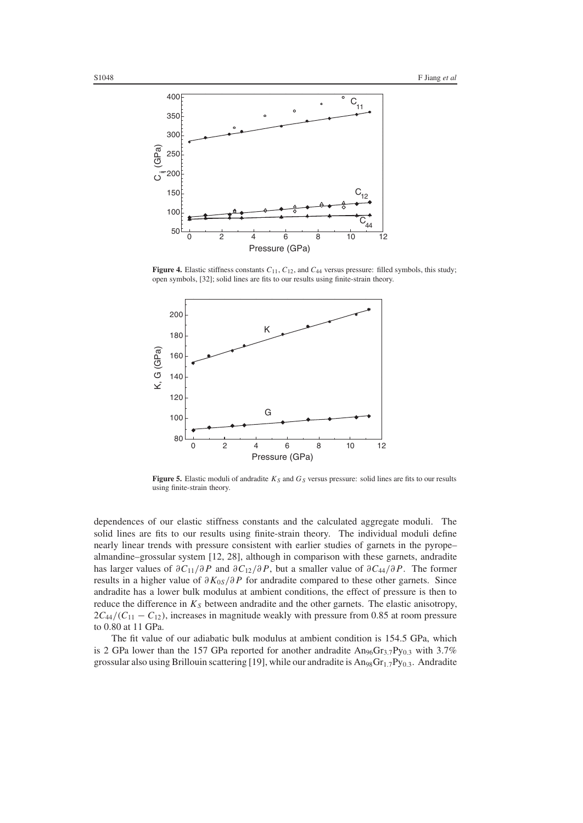

**Figure 4.** Elastic stiffness constants *C*11, *C*12, and *C*<sup>44</sup> versus pressure: filled symbols, this study; open symbols, [32]; solid lines are fits to our results using finite-strain theory.



**Figure 5.** Elastic moduli of andradite  $K_S$  and  $G_S$  versus pressure: solid lines are fits to our results using finite-strain theory.

dependences of our elastic stiffness constants and the calculated aggregate moduli. The solid lines are fits to our results using finite-strain theory. The individual moduli define nearly linear trends with pressure consistent with earlier studies of garnets in the pyrope– almandine–grossular system [12, 28], although in comparison with these garnets, andradite has larger values of  $\partial C_{11}/\partial P$  and  $\partial C_{12}/\partial P$ , but a smaller value of  $\partial C_{44}/\partial P$ . The former results in a higher value of ∂*K*0*<sup>S</sup>*/∂ *P* for andradite compared to these other garnets. Since andradite has a lower bulk modulus at ambient conditions, the effect of pressure is then to reduce the difference in  $K_S$  between andradite and the other garnets. The elastic anisotropy,  $2C_{44}/(C_{11} - C_{12})$ , increases in magnitude weakly with pressure from 0.85 at room pressure to 0.80 at 11 GPa.

The fit value of our adiabatic bulk modulus at ambient condition is 154.5 GPa, which is 2 GPa lower than the 157 GPa reported for another andradite  $An_{96}Gr_{3.7}Py_{0.3}$  with 3.7% grossular also using Brillouin scattering [19], while our andradite is  $An_{98}Gr_{1.7}Py_{0.3}$ . Andradite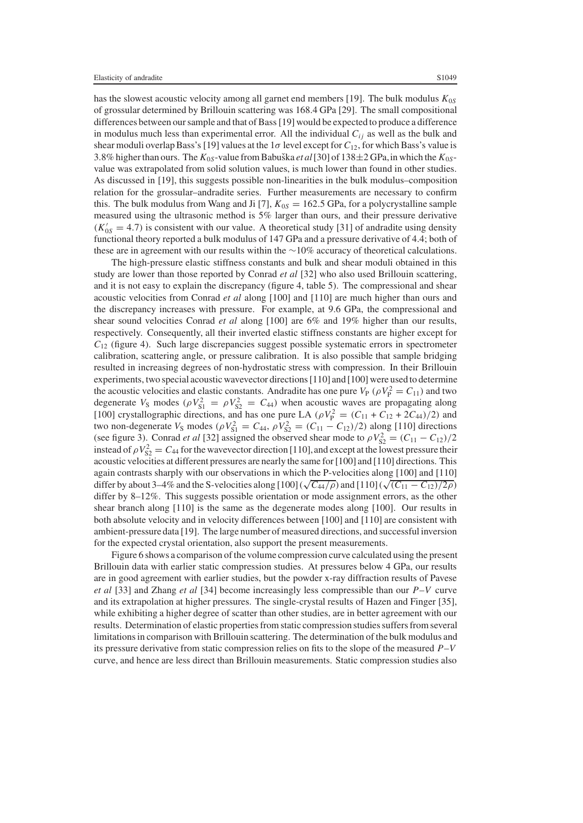has the slowest acoustic velocity among all garnet end members [19]. The bulk modulus *K*0*<sup>S</sup>* of grossular determined by Brillouin scattering was 168.4 GPa [29]. The small compositional differences between our sample and that of Bass [19] would be expected to produce a difference in modulus much less than experimental error. All the individual  $C_{ij}$  as well as the bulk and shear moduli overlap Bass's [19] values at the  $1\sigma$  level except for  $C_{12}$ , for which Bass's value is 3.8% higher than ours. The  $K_{0S}$ -value from Babuška *et al* [30] of 138±2 GPa, in which the  $K_{0S}$ value was extrapolated from solid solution values, is much lower than found in other studies. As discussed in [19], this suggests possible non-linearities in the bulk modulus–composition relation for the grossular–andradite series. Further measurements are necessary to confirm this. The bulk modulus from Wang and Ji [7],  $K_{0S} = 162.5$  GPa, for a polycrystalline sample measured using the ultrasonic method is 5% larger than ours, and their pressure derivative  $(K'_{0S} = 4.7)$  is consistent with our value. A theoretical study [31] of andradite using density functional theory reported a bulk modulus of 147 GPa and a pressure derivative of 4.4; both of these are in agreement with our results within the ∼10% accuracy of theoretical calculations.

The high-pressure elastic stiffness constants and bulk and shear moduli obtained in this study are lower than those reported by Conrad *et al* [32] who also used Brillouin scattering, and it is not easy to explain the discrepancy (figure 4, table 5). The compressional and shear acoustic velocities from Conrad *et al* along [100] and [110] are much higher than ours and the discrepancy increases with pressure. For example, at 9.6 GPa, the compressional and shear sound velocities Conrad *et al* along [100] are 6% and 19% higher than our results, respectively. Consequently, all their inverted elastic stiffness constants are higher except for *C*<sup>12</sup> (figure 4). Such large discrepancies suggest possible systematic errors in spectrometer calibration, scattering angle, or pressure calibration. It is also possible that sample bridging resulted in increasing degrees of non-hydrostatic stress with compression. In their Brillouin experiments, two special acoustic wavevector directions [110] and [100] were used to determine the acoustic velocities and elastic constants. Andradite has one pure  $V_P$  ( $\rho V_P^2 = C_{11}$ ) and two degenerate  $V_S$  modes ( $\rho V_{S1}^2 = \rho V_{S2}^2 = C_{44}$ ) when acoustic waves are propagating along [100] crystallographic directions, and has one pure LA ( $\rho V_P^2 = (C_{11} + C_{12} + 2C_{44})/2$ ) and two non-degenerate  $V_S$  modes ( $\rho V_{S1}^2 = C_{44}$ ,  $\rho V_{S2}^2 = (C_{11} - C_{12})/2$ ) along [110] directions (see figure 3). Conrad *et al* [32] assigned the observed shear mode to  $\rho V_{S2}^2 = (C_{11} - C_{12})/2$ instead of  $\rho V_{S2}^2 = C_{44}$  for the wavevector direction [110], and except at the lowest pressure their acoustic velocities at different pressures are nearly the same for [100] and [110] directions. This again contrasts sharply with our observations in which the P-velocities along [100] and [110] differ by about 3–4% and the S-velocities along [100] ( $\sqrt{C_{44}/\rho}$ ) and [110] ( $\sqrt{(C_{11} - C_{12})/2\rho}$ ) differ by 8–12%. This suggests possible orientation or mode assignment errors, as the other shear branch along [110] is the same as the degenerate modes along [100]. Our results in both absolute velocity and in velocity differences between [100] and [110] are consistent with ambient-pressure data [19]. The large number of measured directions, and successful inversion for the expected crystal orientation, also support the present measurements.

Figure 6 shows a comparison of the volume compression curve calculated using the present Brillouin data with earlier static compression studies. At pressures below 4 GPa, our results are in good agreement with earlier studies, but the powder x-ray diffraction results of Pavese *et al* [33] and Zhang *et al* [34] become increasingly less compressible than our *P*–*V* curve and its extrapolation at higher pressures. The single-crystal results of Hazen and Finger [35], while exhibiting a higher degree of scatter than other studies, are in better agreement with our results. Determination of elastic properties from static compression studies suffers from several limitations in comparison with Brillouin scattering. The determination of the bulk modulus and its pressure derivative from static compression relies on fits to the slope of the measured *P*–*V* curve, and hence are less direct than Brillouin measurements. Static compression studies also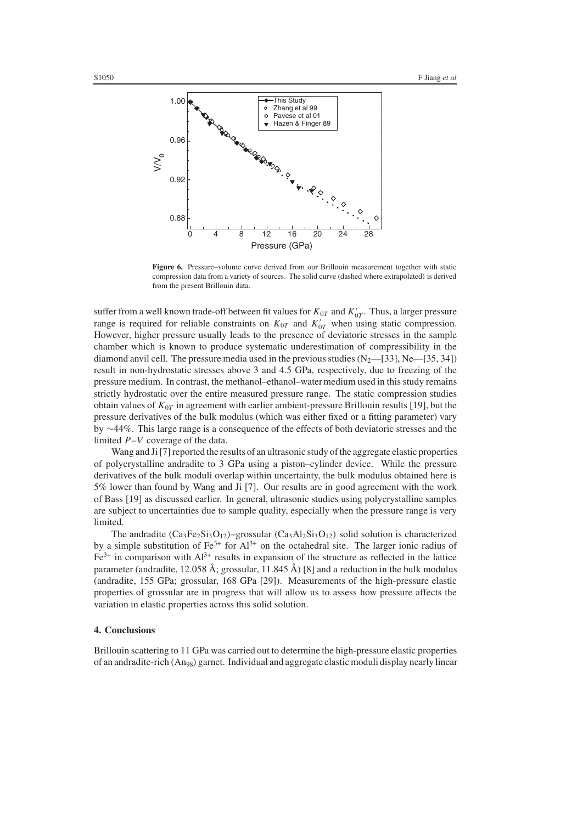

Figure 6. Pressure–volume curve derived from our Brillouin measurement together with static compression data from a variety of sources. The solid curve (dashed where extrapolated) is derived from the present Brillouin data.

suffer from a well known trade-off between fit values for  $K_{0T}$  and  $K_{0T}^{\prime}$  . Thus, a larger pressure range is required for reliable constraints on  $K_{0T}$  and  $K'_{0T}$  when using static compression. However, higher pressure usually leads to the presence of deviatoric stresses in the sample chamber which is known to produce systematic underestimation of compressibility in the diamond anvil cell. The pressure media used in the previous studies  $(N_2$ —[33], Ne—[35, 34]) result in non-hydrostatic stresses above 3 and 4.5 GPa, respectively, due to freezing of the pressure medium. In contrast, the methanol–ethanol–water medium used in this study remains strictly hydrostatic over the entire measured pressure range. The static compression studies obtain values of *K*0*<sup>T</sup>* in agreement with earlier ambient-pressure Brillouin results [19], but the pressure derivatives of the bulk modulus (which was either fixed or a fitting parameter) vary by ∼44%. This large range is a consequence of the effects of both deviatoric stresses and the limited *P*–*V* coverage of the data.

Wang and Ji [7] reported the results of an ultrasonic study of the aggregate elastic properties of polycrystalline andradite to 3 GPa using a piston–cylinder device. While the pressure derivatives of the bulk moduli overlap within uncertainty, the bulk modulus obtained here is 5% lower than found by Wang and Ji [7]. Our results are in good agreement with the work of Bass [19] as discussed earlier. In general, ultrasonic studies using polycrystalline samples are subject to uncertainties due to sample quality, especially when the pressure range is very limited.

The andradite  $(Ca_3Fe_2Si_3O_{12})$ -grossular  $(Ca_3Al_2Si_3O_{12})$  solid solution is characterized by a simple substitution of  $Fe^{3+}$  for  $Al^{3+}$  on the octahedral site. The larger ionic radius of  $Fe<sup>3+</sup>$  in comparison with  $Al<sup>3+</sup>$  results in expansion of the structure as reflected in the lattice parameter (andradite, 12.058 Å; grossular, 11.845 Å) [8] and a reduction in the bulk modulus (andradite, 155 GPa; grossular, 168 GPa [29]). Measurements of the high-pressure elastic properties of grossular are in progress that will allow us to assess how pressure affects the variation in elastic properties across this solid solution.

#### **4. Conclusions**

Brillouin scattering to 11 GPa was carried out to determine the high-pressure elastic properties of an andradite-rich (An98) garnet. Individual and aggregate elastic moduli display nearly linear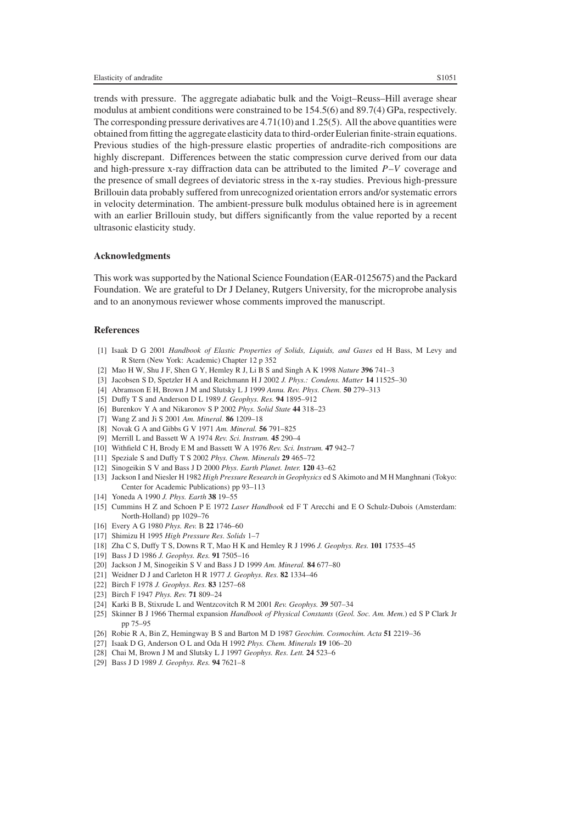trends with pressure. The aggregate adiabatic bulk and the Voigt–Reuss–Hill average shear modulus at ambient conditions were constrained to be 154.5(6) and 89.7(4) GPa, respectively. The corresponding pressure derivatives are  $4.71(10)$  and  $1.25(5)$ . All the above quantities were obtained from fitting the aggregate elasticity data to third-order Eulerian finite-strain equations. Previous studies of the high-pressure elastic properties of andradite-rich compositions are highly discrepant. Differences between the static compression curve derived from our data and high-pressure x-ray diffraction data can be attributed to the limited *P*–*V* coverage and the presence of small degrees of deviatoric stress in the x-ray studies. Previous high-pressure Brillouin data probably suffered from unrecognized orientation errors and/or systematic errors in velocity determination. The ambient-pressure bulk modulus obtained here is in agreement with an earlier Brillouin study, but differs significantly from the value reported by a recent ultrasonic elasticity study.

#### **Acknowledgments**

This work was supported by the National Science Foundation (EAR-0125675) and the Packard Foundation. We are grateful to Dr J Delaney, Rutgers University, for the microprobe analysis and to an anonymous reviewer whose comments improved the manuscript.

## **References**

- [1] Isaak D G 2001 *Handbook of Elastic Properties of Solids, Liquids, and Gases* ed H Bass, M Levy and R Stern (New York: Academic) Chapter 12 p 352
- [2] Mao H W, Shu J F, Shen G Y, Hemley R J, Li B S and Singh A K 1998 *Nature* **396** 741–3
- [3] Jacobsen S D, Spetzler H A and Reichmann H J 2002 *J. Phys.: Condens. Matter* **14** 11525–30
- [4] Abramson E H, Brown J M and Slutsky L J 1999 *Annu. Rev. Phys. Chem.* **50** 279–313
- [5] Duffy T S and Anderson D L 1989 *J. Geophys. Res.* **94** 1895–912
- [6] Burenkov Y A and Nikaronov S P 2002 *Phys. Solid State* **44** 318–23
- [7] Wang Z and Ji S 2001 *Am. Mineral.* **86** 1209–18
- [8] Novak G A and Gibbs G V 1971 *Am. Mineral.* **56** 791–825
- [9] Merrill L and Bassett W A 1974 *Rev. Sci. Instrum.* **45** 290–4
- [10] Withfield C H, Brody E M and Bassett W A 1976 *Rev. Sci. Instrum.* **47** 942–7
- [11] Speziale S and Duffy T S 2002 *Phys. Chem. Minerals* **29** 465–72
- [12] Sinogeikin S V and Bass J D 2000 *Phys. Earth Planet. Inter.* **120** 43–62
- [13] Jackson I and Niesler H 1982 *High Pressure Research in Geophysics* ed S Akimoto and M H Manghnani (Tokyo: Center for Academic Publications) pp 93–113
- [14] Yoneda A 1990 *J. Phys. Earth* **38** 19–55
- [15] Cummins H Z and Schoen P E 1972 *Laser Handbook* ed F T Arecchi and E O Schulz-Dubois (Amsterdam: North-Holland) pp 1029–76
- [16] Every A G 1980 *Phys. Rev.* B **22** 1746–60
- [17] Shimizu H 1995 *High Pressure Res. Solids* 1–7
- [18] Zha C S, Duffy T S, Downs R T, Mao H K and Hemley R J 1996 *J. Geophys. Res.* **101** 17535–45
- [19] Bass J D 1986 *J. Geophys. Res.* **91** 7505–16
- [20] Jackson J M, Sinogeikin S V and Bass J D 1999 *Am. Mineral.* **84** 677–80
- [21] Weidner D J and Carleton H R 1977 *J. Geophys. Res.* **82** 1334–46
- [22] Birch F 1978 *J. Geophys. Res.* **83** 1257–68
- [23] Birch F 1947 *Phys. Rev.* **71** 809–24
- [24] Karki B B, Stixrude L and Wentzcovitch R M 2001 *Rev. Geophys.* **39** 507–34
- [25] Skinner B J 1966 Thermal expansion *Handbook of Physical Constants* (*Geol. Soc. Am. Mem.*) ed S P Clark Jr pp 75–95
- [26] Robie R A, Bin Z, Hemingway B S and Barton M D 1987 *Geochim. Cosmochim. Acta* **51** 2219–36
- [27] Isaak D G, Anderson O L and Oda H 1992 *Phys. Chem. Minerals* **19** 106–20
- [28] Chai M, Brown J M and Slutsky L J 1997 *Geophys. Res. Lett.* **24** 523–6
- [29] Bass J D 1989 *J. Geophys. Res.* **94** 7621–8